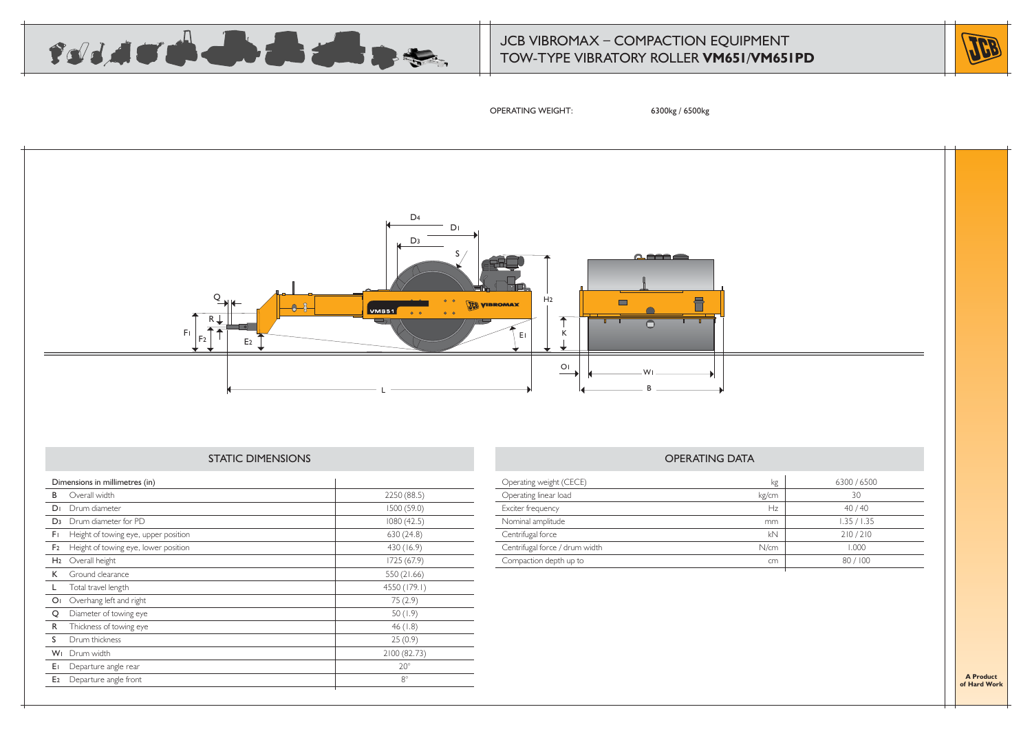

## JCB VIBROMAX – COMPACTION EQUIPMENT TOW-TYPE VIBRATORY ROLLER **VM651**/**VM651PD**



OPERATING WEIGHT: 6300kg / 6500kg



### STATIC DIMENSIONS

| Overall width                        | 2250 (88.5)                    |
|--------------------------------------|--------------------------------|
| Drum diameter                        | 1500 (59.0)                    |
| Drum diameter for PD                 | 1080 (42.5)                    |
| Height of towing eye, upper position | 630 (24.8)                     |
| Height of towing eye, lower position | 430 (16.9)                     |
| Overall height                       | 1725 (67.9)                    |
| Ground clearance                     | 550 (21.66)                    |
| Total travel length                  | 4550 (179.1)                   |
| Overhang left and right              | 75(2.9)                        |
| Diameter of towing eye               | 50(1.9)                        |
| Thickness of towing eye              | 46(1.8)                        |
| Drum thickness                       | 25(0.9)                        |
| Drum width                           | 2100 (82.73)                   |
| Departure angle rear                 | $20^\circ$                     |
| Departure angle front                | $8^\circ$                      |
|                                      | Dimensions in millimetres (in) |

| Operating weight (CECE)        | kg    | 6300 / 6500 |
|--------------------------------|-------|-------------|
| Operating linear load          | kg/cm | 30          |
| Exciter frequency              | Hz    | 40/40       |
| Nominal amplitude              | mm    | 1.35 / 1.35 |
| Centrifugal force              | kN    | 210/210     |
| Centrifugal force / drum width | N/cm  | 1.000       |
| Compaction depth up to         | cm    | 80/100      |
|                                |       |             |

OPERATING DATA